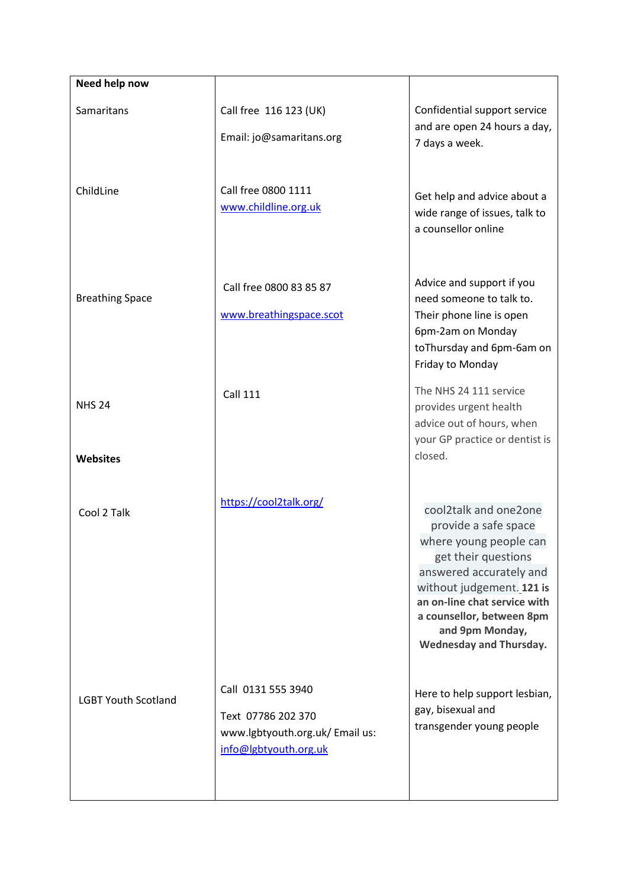| Need help now              |                                                                                                      |                                                                                                                                                                                                                                                                          |
|----------------------------|------------------------------------------------------------------------------------------------------|--------------------------------------------------------------------------------------------------------------------------------------------------------------------------------------------------------------------------------------------------------------------------|
| Samaritans                 | Call free 116 123 (UK)<br>Email: jo@samaritans.org                                                   | Confidential support service<br>and are open 24 hours a day,<br>7 days a week.                                                                                                                                                                                           |
| ChildLine                  | Call free 0800 1111<br>www.childline.org.uk                                                          | Get help and advice about a<br>wide range of issues, talk to<br>a counsellor online                                                                                                                                                                                      |
| <b>Breathing Space</b>     | Call free 0800 83 85 87<br>www.breathingspace.scot                                                   | Advice and support if you<br>need someone to talk to.<br>Their phone line is open<br>6pm-2am on Monday<br>toThursday and 6pm-6am on<br>Friday to Monday                                                                                                                  |
| <b>NHS 24</b>              | <b>Call 111</b>                                                                                      | The NHS 24 111 service<br>provides urgent health<br>advice out of hours, when<br>your GP practice or dentist is                                                                                                                                                          |
| <b>Websites</b>            |                                                                                                      | closed.                                                                                                                                                                                                                                                                  |
| Cool 2 Talk                | https://cool2talk.org/                                                                               | cool2talk and one2one<br>provide a safe space<br>where young people can<br>get their questions<br>answered accurately and<br>without judgement. 121 is<br>an on-line chat service with<br>a counsellor, between 8pm<br>and 9pm Monday,<br><b>Wednesday and Thursday.</b> |
| <b>LGBT Youth Scotland</b> | Call 0131 555 3940<br>Text 07786 202 370<br>www.lgbtyouth.org.uk/ Email us:<br>info@lgbtyouth.org.uk | Here to help support lesbian,<br>gay, bisexual and<br>transgender young people                                                                                                                                                                                           |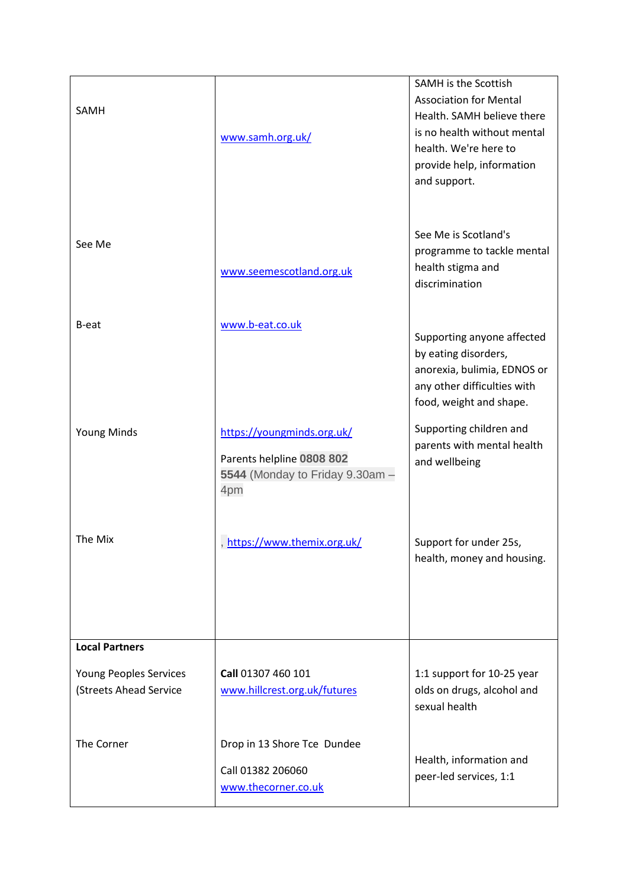| SAMH                                             | www.samh.org.uk/                                                                                  | SAMH is the Scottish<br><b>Association for Mental</b><br>Health. SAMH believe there<br>is no health without mental<br>health. We're here to<br>provide help, information<br>and support. |
|--------------------------------------------------|---------------------------------------------------------------------------------------------------|------------------------------------------------------------------------------------------------------------------------------------------------------------------------------------------|
| See Me                                           | www.seemescotland.org.uk                                                                          | See Me is Scotland's<br>programme to tackle mental<br>health stigma and<br>discrimination                                                                                                |
| B-eat                                            | www.b-eat.co.uk                                                                                   | Supporting anyone affected<br>by eating disorders,<br>anorexia, bulimia, EDNOS or<br>any other difficulties with<br>food, weight and shape.                                              |
| <b>Young Minds</b>                               | https://youngminds.org.uk/<br>Parents helpline 0808 802<br>5544 (Monday to Friday 9.30am -<br>4pm | Supporting children and<br>parents with mental health<br>and wellbeing                                                                                                                   |
| The Mix                                          | https://www.themix.org.uk/                                                                        | Support for under 25s,<br>health, money and housing.                                                                                                                                     |
| <b>Local Partners</b>                            |                                                                                                   |                                                                                                                                                                                          |
| Young Peoples Services<br>(Streets Ahead Service | Call 01307 460 101<br>www.hillcrest.org.uk/futures                                                | 1:1 support for 10-25 year<br>olds on drugs, alcohol and<br>sexual health                                                                                                                |
| The Corner                                       | Drop in 13 Shore Tce Dundee<br>Call 01382 206060<br>www.thecorner.co.uk                           | Health, information and<br>peer-led services, 1:1                                                                                                                                        |